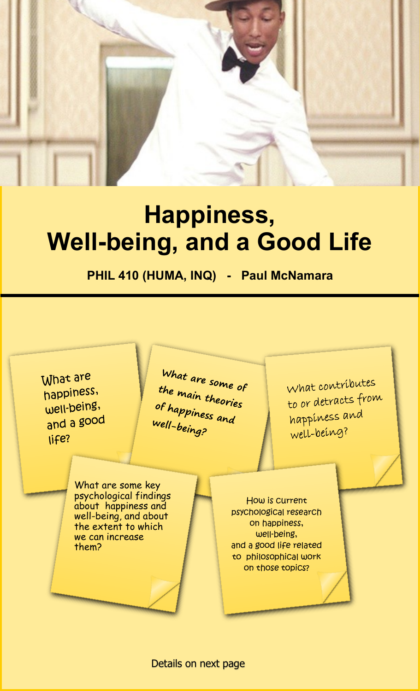

## **Happiness, Well-being, and a Good Life**

**PHIL 410 (HUMA, INQ) - Paul McNamara**



Details on next page